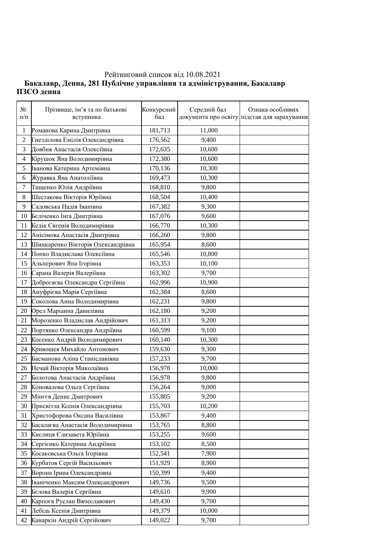## Рейтинговий список від 10.08.2021 **Ъакалавр, Денна, 281 Публічне управління та адміністрування, Бакалавр** ПЗСО денна

| $N_{\! \! \! \Omega}$<br>$\Pi/\Pi$ | Прізвище, ім'я та по батькові<br>вступника | Конкурсний<br>бал | Середній бал | Ознака особливих<br>документа про освіту підстав для зарахування |
|------------------------------------|--------------------------------------------|-------------------|--------------|------------------------------------------------------------------|
| $\mathbf{1}$                       | Романова Карина Дмитрівна                  | 181,713           | 11,000       |                                                                  |
| $\mathbf{2}$                       | Гнезділова Емілія Олександрівна            | 176,562           | 9,400        |                                                                  |
| 3                                  | Довбня Анастасія Олексіївна                | 172,635           | 10,600       |                                                                  |
| 4                                  | Кірушок Яна Володимирівна                  | 172,380           | 10,600       |                                                                  |
| 5                                  | Іванова Катерина Артемівна                 | 170,136           | 10,300       |                                                                  |
| 6                                  | Журавка Яна Анатоліївна                    | 169,473           | 10,300       |                                                                  |
| 7                                  | Тищенко Юлія Андріївна                     | 168,810           | 9,800        |                                                                  |
| $8\,$                              | Шестакова Вікторія Юріївна                 | 168,504           | 10,400       |                                                                  |
| 9                                  | Садовська Надія Іванівна                   | 167,382           | 9,300        |                                                                  |
| 10                                 | Беліченко Інга Дмитрівна                   | 167,076           | 9,600        |                                                                  |
| 11                                 | Кедік Євгенія Володимирівна                | 166,770           | 10,300       |                                                                  |
| 12                                 | Анісімова Анастасія Дмитрівна              | 166,260           | 9,800        |                                                                  |
| 13                                 | Шинкаренко Вікторія Олександрівна          | 165,954           | 8,600        |                                                                  |
| 14                                 | Попко Владислава Олексіївна                | 165,546           | 10,800       |                                                                  |
| 15                                 | Альперович Яна Ігорівна                    | 163,353           | 10,100       |                                                                  |
| 16                                 | Сарана Валерія Валеріївна                  | 163,302           | 9,700        |                                                                  |
| 17                                 | Доброгаєва Олександра Сергіївна            | 162,996           | 10,900       |                                                                  |
| 18                                 | Ануфрієва Марія Сергіївна                  | 162,384           | 8,600        |                                                                  |
| 19                                 | Соколова Анна Володимирівна                | 162,231           | 9,800        |                                                                  |
| 20                                 | Орел Маріанна Данилівна                    | 162,180           | 9,200        |                                                                  |
| 21                                 | Морозенко Владислав Андрійович             | 161,313           | 9,200        |                                                                  |
| 22                                 | Портянко Олександра Андріївна              | 160,599           | 9,100        |                                                                  |
| 23                                 | Косенко Андрій Володимирович               | 160,140           | 10,300       |                                                                  |
| 24                                 | Кривошея Михайло Антонович                 | 159,630           | 9,300        |                                                                  |
| 25                                 | Басманова Аліна Станіславівна              | 157,233           | 9,700        |                                                                  |
| 26                                 | Нечай Вікторія Миколаївна                  | 156,978           | 10,000       |                                                                  |
| 27                                 | Болотова Анастасія Андріївна               | 156,978           | 9,800        |                                                                  |
| 28                                 | Коновалова Ольга Сергіївна                 | 156,264           | 9,000        |                                                                  |
| 29                                 | Мінєєв Денис Дмитрович                     | 155,805           | 9,200        |                                                                  |
| 30                                 | Присвітла Ксенія Олександрівна             | 155,703           | 10,200       |                                                                  |
| 31                                 | Христофорова Оксана Василівна              | 153,867           | 9,400        |                                                                  |
| 32                                 | Басалаєва Анастасія Володимирівна          | 153,765           | 8,800        |                                                                  |
| 33                                 | Кислиця Єлизавета Юріївна                  | 153,255           | 9,600        |                                                                  |
| 34                                 | Сергієнко Катерина Андріївна               | 153,102           | 8,500        |                                                                  |
| 35                                 | Косаковська Ольга Ігорівна                 | 152,541           | 7,900        |                                                                  |
| 36                                 | Курбатов Сергій Васильович                 | 151,929           | 8,900        |                                                                  |
| 37                                 | Ворона Ірина Олександрівна                 | 150,399           | 9,400        |                                                                  |
| 38                                 | Іваніченко Максим Олександрович            | 149,736           | 9,500        |                                                                  |
| 39                                 | Бєлова Валерія Сергіївна                   | 149,610           | 9,900        |                                                                  |
| 40                                 | Карпоєв Руслан Вячеславович                | 149,430           | 9,700        |                                                                  |
| 41                                 | Лебідь Ксенія Дмитрівна                    | 149,379           | 10,000       |                                                                  |
| 42                                 | Канаркін Андрій Сергійович                 | 149,022           | 9,700        |                                                                  |